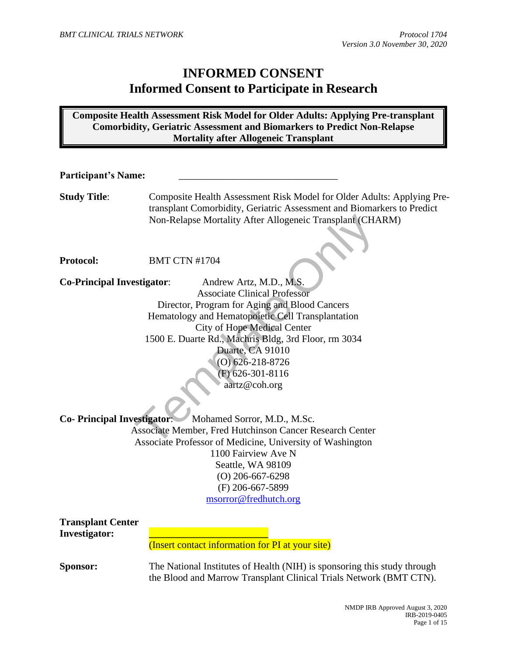# **INFORMED CONSENT Informed Consent to Participate in Research**

**Composite Health Assessment Risk Model for Older Adults: Applying Pre-transplant Comorbidity, Geriatric Assessment and Biomarkers to Predict Non-Relapse Mortality after Allogeneic Transplant**

| <b>Participant's Name:</b>                                              |                                                                                                                                                                                                                                                                                                                                                                                                                                                                                                                                                                                                                            |  |
|-------------------------------------------------------------------------|----------------------------------------------------------------------------------------------------------------------------------------------------------------------------------------------------------------------------------------------------------------------------------------------------------------------------------------------------------------------------------------------------------------------------------------------------------------------------------------------------------------------------------------------------------------------------------------------------------------------------|--|
| <b>Study Title:</b>                                                     | Composite Health Assessment Risk Model for Older Adults: Applying Pre-<br>transplant Comorbidity, Geriatric Assessment and Biomarkers to Predict<br>Non-Relapse Mortality After Allogeneic Transplant (CHARM)                                                                                                                                                                                                                                                                                                                                                                                                              |  |
| <b>Protocol:</b>                                                        | <b>BMT CTN #1704</b>                                                                                                                                                                                                                                                                                                                                                                                                                                                                                                                                                                                                       |  |
| <b>Co-Principal Investigator:</b><br><b>Co- Principal Investigator:</b> | Andrew Artz, M.D., M.S.<br><b>Associate Clinical Professor</b><br>Director, Program for Aging and Blood Cancers<br>Hematology and Hematopoietic Cell Transplantation<br><b>City of Hope Medical Center</b><br>1500 E. Duarte Rd., Machris Bldg, 3rd Floor, rm 3034<br>Duarte, CA 91010<br>$(O)$ 626-218-8726<br>$(F)$ 626-301-8116<br>aartz@coh.org<br>Mohamed Sorror, M.D., M.Sc.<br>Associate Member, Fred Hutchinson Cancer Research Center<br>Associate Professor of Medicine, University of Washington<br>1100 Fairview Ave N<br>Seattle, WA 98109<br>$(O)$ 206-667-6298<br>(F) 206-667-5899<br>msorror@fredhutch.org |  |
| <b>Transplant Center</b><br><b>Investigator:</b>                        | (Insert contact information for PI at your site)                                                                                                                                                                                                                                                                                                                                                                                                                                                                                                                                                                           |  |
| Sponsor:                                                                | The National Institutes of Health (NIH) is sponsoring this study through<br>the Blood and Marrow Transplant Clinical Trials Network (BMT CTN).                                                                                                                                                                                                                                                                                                                                                                                                                                                                             |  |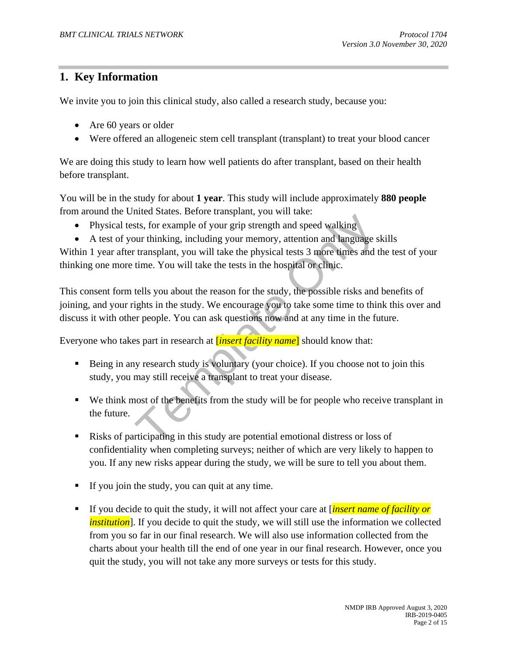# **1. Key Information**

We invite you to join this clinical study, also called a research study, because you:

- Are 60 years or older
- Were offered an allogeneic stem cell transplant (transplant) to treat your blood cancer

We are doing this study to learn how well patients do after transplant, based on their health before transplant.

You will be in the study for about **1 year**. This study will include approximately **880 people** from around the United States. Before transplant, you will take:

- Physical tests, for example of your grip strength and speed walking
- A test of your thinking, including your memory, attention and language skills

Within 1 year after transplant, you will take the physical tests 3 more times and the test of your thinking one more time. You will take the tests in the hospital or clinic.

the state of your grip strength and speed walking<br>that, for example of your grip strength and speed walking<br>our thinking, including your memory, attention and language s<br>transplant, you will take the physical tests 3 more This consent form tells you about the reason for the study, the possible risks and benefits of joining, and your rights in the study. We encourage you to take some time to think this over and discuss it with other people. You can ask questions now and at any time in the future.

Everyone who takes part in research at [*insert facility name*] should know that:

- Being in any research study is voluntary (your choice). If you choose not to join this study, you may still receive a transplant to treat your disease.
- We think most of the benefits from the study will be for people who receive transplant in the future.
- Risks of participating in this study are potential emotional distress or loss of confidentiality when completing surveys; neither of which are very likely to happen to you. If any new risks appear during the study, we will be sure to tell you about them.
- **If you join the study, you can quit at any time.**
- If you decide to quit the study, it will not affect your care at [*insert name of facility or institution*]. If you decide to quit the study, we will still use the information we collected from you so far in our final research. We will also use information collected from the charts about your health till the end of one year in our final research. However, once you quit the study, you will not take any more surveys or tests for this study.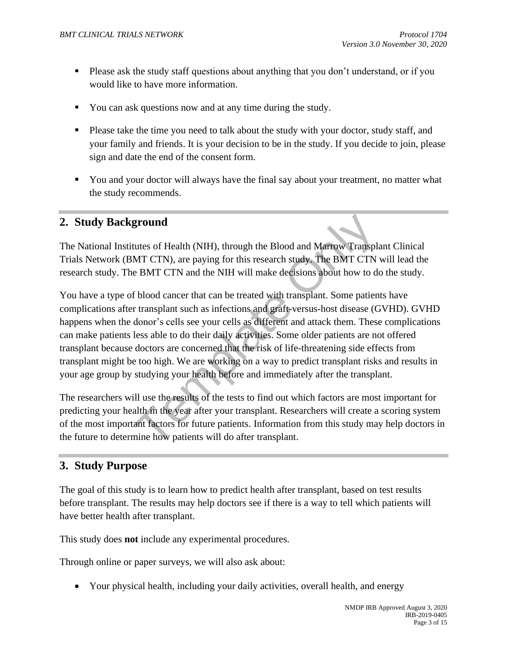- **•** Please ask the study staff questions about anything that you don't understand, or if you would like to have more information.
- You can ask questions now and at any time during the study.
- **•** Please take the time you need to talk about the study with your doctor, study staff, and your family and friends. It is your decision to be in the study. If you decide to join, please sign and date the end of the consent form.
- You and your doctor will always have the final say about your treatment, no matter what the study recommends.

### **2. Study Background**

The National Institutes of Health (NIH), through the Blood and Marrow Transplant Clinical Trials Network (BMT CTN), are paying for this research study. The BMT CTN will lead the research study. The BMT CTN and the NIH will make decisions about how to do the study.

**ground**<br>**ground**<br>**ground**<br>**EXECUTE 2015** (NIH), through the Blood and Marrow Transplant<br>T CTN), are paying for this research study. The BMT CTN<br>e BMT CTN and the NIH will make decisions about how to do<br>**f** blood cancer th You have a type of blood cancer that can be treated with transplant. Some patients have complications after transplant such as infections and graft-versus-host disease (GVHD). GVHD happens when the donor's cells see your cells as different and attack them. These complications can make patients less able to do their daily activities. Some older patients are not offered transplant because doctors are concerned that the risk of life-threatening side effects from transplant might be too high. We are working on a way to predict transplant risks and results in your age group by studying your health before and immediately after the transplant.

The researchers will use the results of the tests to find out which factors are most important for predicting your health in the year after your transplant. Researchers will create a scoring system of the most important factors for future patients. Information from this study may help doctors in the future to determine how patients will do after transplant.

# **3. Study Purpose**

The goal of this study is to learn how to predict health after transplant, based on test results before transplant. The results may help doctors see if there is a way to tell which patients will have better health after transplant.

This study does **not** include any experimental procedures.

Through online or paper surveys, we will also ask about:

• Your physical health, including your daily activities, overall health, and energy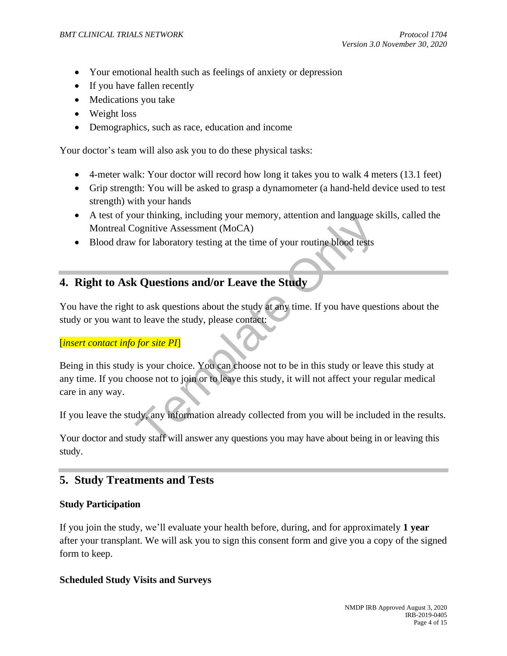- Your emotional health such as feelings of anxiety or depression
- If you have fallen recently
- Medications you take
- Weight loss
- Demographics, such as race, education and income

Your doctor's team will also ask you to do these physical tasks:

- 4-meter walk: Your doctor will record how long it takes you to walk 4 meters (13.1 feet)
- Grip strength: You will be asked to grasp a dynamometer (a hand-held device used to test strength) with your hands
- A test of your thinking, including your memory, attention and language skills, called the Montreal Cognitive Assessment (MoCA)
- Blood draw for laboratory testing at the time of your routine blood tests

# **4. Right to Ask Questions and/or Leave the Study**

You have the right to ask questions about the study at any time. If you have questions about the study or you want to leave the study, please contact:

### [*insert contact info for site PI*]

but thinking, including your memory, attention and language s<br>
lognitive Assessment (MoCA)<br>
v for laboratory testing at the time of your routine blood tests<br> **z** Questions and/or Leave the Study<br>
to ask questions about the Being in this study is your choice. You can choose not to be in this study or leave this study at any time. If you choose not to join or to leave this study, it will not affect your regular medical care in any way.

If you leave the study, any information already collected from you will be included in the results.

Your doctor and study staff will answer any questions you may have about being in or leaving this study.

# **5. Study Treatments and Tests**

### **Study Participation**

If you join the study, we'll evaluate your health before, during, and for approximately **1 year** after your transplant. We will ask you to sign this consent form and give you a copy of the signed form to keep.

#### **Scheduled Study Visits and Surveys**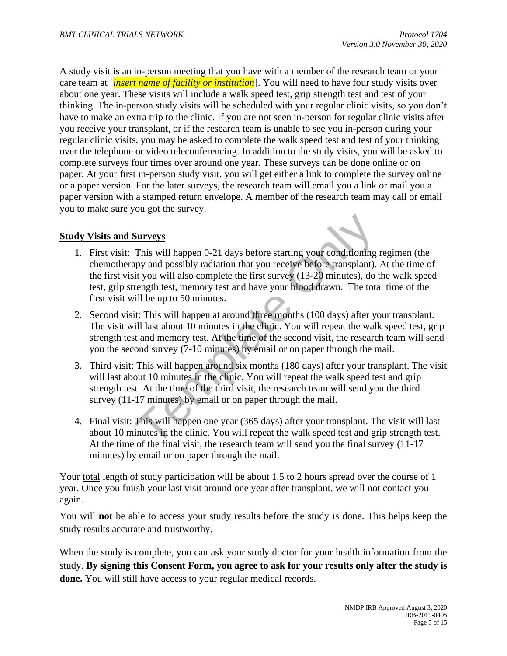A study visit is an in-person meeting that you have with a member of the research team or your care team at [*insert name of facility or institution*]. You will need to have four study visits over about one year. These visits will include a walk speed test, grip strength test and test of your thinking. The in-person study visits will be scheduled with your regular clinic visits, so you don't have to make an extra trip to the clinic. If you are not seen in-person for regular clinic visits after you receive your transplant, or if the research team is unable to see you in-person during your regular clinic visits, you may be asked to complete the walk speed test and test of your thinking over the telephone or video teleconferencing. In addition to the study visits, you will be asked to complete surveys four times over around one year. These surveys can be done online or on paper. At your first in-person study visit, you will get either a link to complete the survey online or a paper version. For the later surveys, the research team will email you a link or mail you a paper version with a stamped return envelope. A member of the research team may call or email you to make sure you got the survey.

### **Study Visits and Surveys**

- **Surveys**<br>
This will happen 0-21 days before starting your conditioning<br>
npy and possibly radiation that you receive before transplant).<br>
it you will also complete the first survey (13-20 minutes), do<br>
tength test, memory 1. First visit: This will happen 0-21 days before starting your conditioning regimen (the chemotherapy and possibly radiation that you receive before transplant). At the time of the first visit you will also complete the first survey (13-20 minutes), do the walk speed test, grip strength test, memory test and have your blood drawn. The total time of the first visit will be up to 50 minutes.
- 2. Second visit: This will happen at around three months (100 days) after your transplant. The visit will last about 10 minutes in the clinic. You will repeat the walk speed test, grip strength test and memory test. At the time of the second visit, the research team will send you the second survey (7-10 minutes) by email or on paper through the mail.
- 3. Third visit: This will happen around six months (180 days) after your transplant. The visit will last about 10 minutes in the clinic. You will repeat the walk speed test and grip strength test. At the time of the third visit, the research team will send you the third survey (11-17 minutes) by email or on paper through the mail.
- 4. Final visit: This will happen one year (365 days) after your transplant. The visit will last about 10 minutes in the clinic. You will repeat the walk speed test and grip strength test. At the time of the final visit, the research team will send you the final survey (11-17 minutes) by email or on paper through the mail.

Your total length of study participation will be about 1.5 to 2 hours spread over the course of 1 year. Once you finish your last visit around one year after transplant, we will not contact you again.

You will **not** be able to access your study results before the study is done. This helps keep the study results accurate and trustworthy.

When the study is complete, you can ask your study doctor for your health information from the study. **By signing this Consent Form, you agree to ask for your results only after the study is done.** You will still have access to your regular medical records.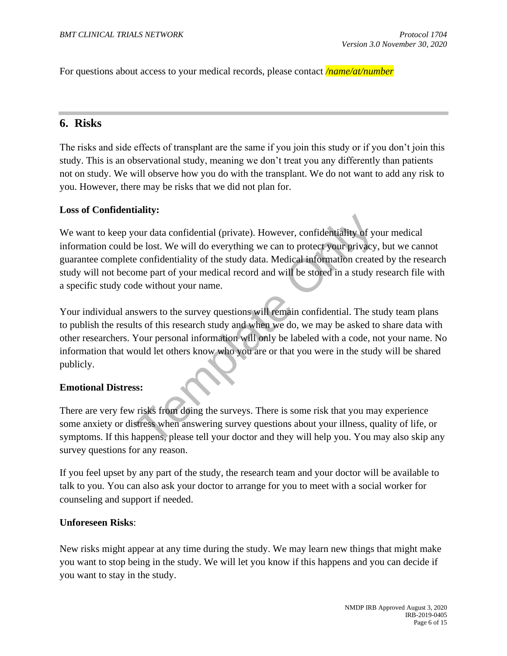For questions about access to your medical records, please contact */name/at/number*

### **6. Risks**

The risks and side effects of transplant are the same if you join this study or if you don't join this study. This is an observational study, meaning we don't treat you any differently than patients not on study. We will observe how you do with the transplant. We do not want to add any risk to you. However, there may be risks that we did not plan for.

#### **Loss of Confidentiality:**

our data confidential (private). However, confidentiality of yo<br>be lost. We will do everything we can to protect your privacy,<br>e confidentiality of the study data. Medical information create<br>ome part of your medical record We want to keep your data confidential (private). However, confidentiality of your medical information could be lost. We will do everything we can to protect your privacy, but we cannot guarantee complete confidentiality of the study data. Medical information created by the research study will not become part of your medical record and will be stored in a study research file with a specific study code without your name.

Your individual answers to the survey questions will remain confidential. The study team plans to publish the results of this research study and when we do, we may be asked to share data with other researchers. Your personal information will only be labeled with a code, not your name. No information that would let others know who you are or that you were in the study will be shared publicly.

#### **Emotional Distress:**

There are very few risks from doing the surveys. There is some risk that you may experience some anxiety or distress when answering survey questions about your illness, quality of life, or symptoms. If this happens, please tell your doctor and they will help you. You may also skip any survey questions for any reason.

If you feel upset by any part of the study, the research team and your doctor will be available to talk to you. You can also ask your doctor to arrange for you to meet with a social worker for counseling and support if needed.

#### **Unforeseen Risks**:

New risks might appear at any time during the study. We may learn new things that might make you want to stop being in the study. We will let you know if this happens and you can decide if you want to stay in the study.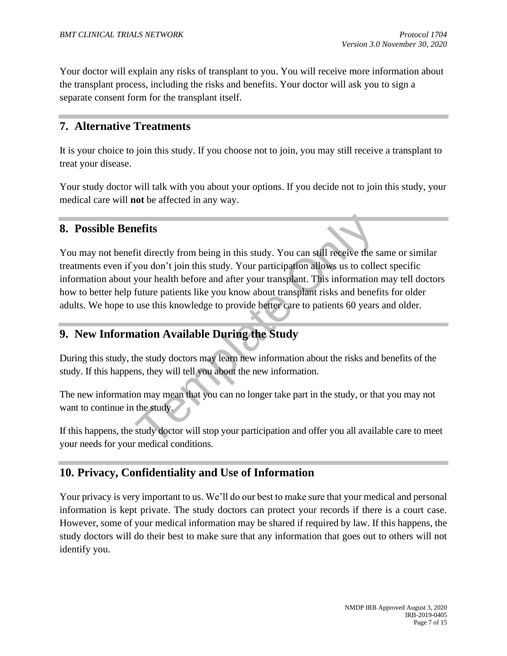Your doctor will explain any risks of transplant to you. You will receive more information about the transplant process, including the risks and benefits. Your doctor will ask you to sign a separate consent form for the transplant itself.

### **7. Alternative Treatments**

It is your choice to join this study. If you choose not to join, you may still receive a transplant to treat your disease.

Your study doctor will talk with you about your options. If you decide not to join this study, your medical care will **not** be affected in any way.

### **8. Possible Benefits**

**nefits**<br>fit directly from being in this study. You can still receive the s<br>you don't join this study. Your participation allows us to colle<br>your health before and after your transplant. This information<br>future patients li You may not benefit directly from being in this study. You can still receive the same or similar treatments even if you don't join this study. Your participation allows us to collect specific information about your health before and after your transplant. This information may tell doctors how to better help future patients like you know about transplant risks and benefits for older adults. We hope to use this knowledge to provide better care to patients 60 years and older.

# **9. New Information Available During the Study**

During this study, the study doctors may learn new information about the risks and benefits of the study. If this happens, they will tell you about the new information.

The new information may mean that you can no longer take part in the study, or that you may not want to continue in the study.

If this happens, the study doctor will stop your participation and offer you all available care to meet your needs for your medical conditions.

# **10. Privacy, Confidentiality and Use of Information**

Your privacy is very important to us. We'll do our best to make sure that your medical and personal information is kept private. The study doctors can protect your records if there is a court case. However, some of your medical information may be shared if required by law. If this happens, the study doctors will do their best to make sure that any information that goes out to others will not identify you.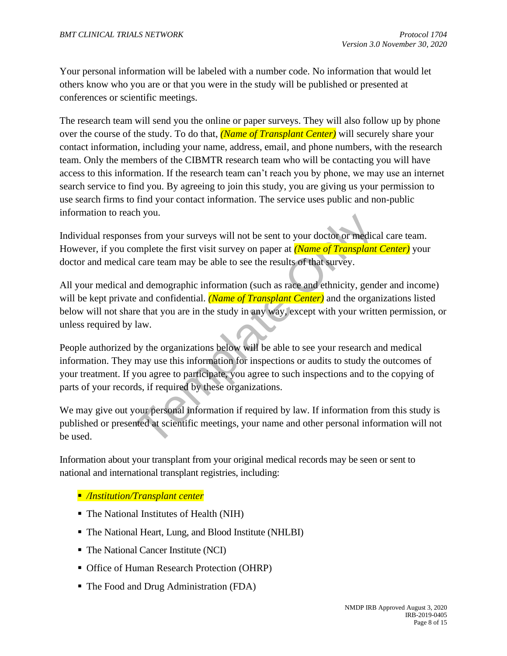Your personal information will be labeled with a number code. No information that would let others know who you are or that you were in the study will be published or presented at conferences or scientific meetings.

The research team will send you the online or paper surveys. They will also follow up by phone over the course of the study. To do that, *(Name of Transplant Center)* will securely share your contact information, including your name, address, email, and phone numbers, with the research team. Only the members of the CIBMTR research team who will be contacting you will have access to this information. If the research team can't reach you by phone, we may use an internet search service to find you. By agreeing to join this study, you are giving us your permission to use search firms to find your contact information. The service uses public and non-public information to reach you.

Individual responses from your surveys will not be sent to your doctor or medical care team. However, if you complete the first visit survey on paper at *(Name of Transplant Center)* your doctor and medical care team may be able to see the results of that survey.

En you.<br>
En you.<br>
Se from your surveys will not be sent to your doctor or medica<br>
Dependent learnt end may be able to see the results of that survey.<br>
In dare team may be able to see the results of that survey.<br>
In demogra All your medical and demographic information (such as race and ethnicity, gender and income) will be kept private and confidential. *(Name of Transplant Center)* and the organizations listed below will not share that you are in the study in any way, except with your written permission, or unless required by law.

People authorized by the organizations below will be able to see your research and medical information. They may use this information for inspections or audits to study the outcomes of your treatment. If you agree to participate, you agree to such inspections and to the copying of parts of your records, if required by these organizations.

We may give out your personal information if required by law. If information from this study is published or presented at scientific meetings, your name and other personal information will not be used.

Information about your transplant from your original medical records may be seen or sent to national and international transplant registries, including:

- */Institution/Transplant center*
- The National Institutes of Health (NIH)
- The National Heart, Lung, and Blood Institute (NHLBI)
- The National Cancer Institute (NCI)
- Office of Human Research Protection (OHRP)
- The Food and Drug Administration (FDA)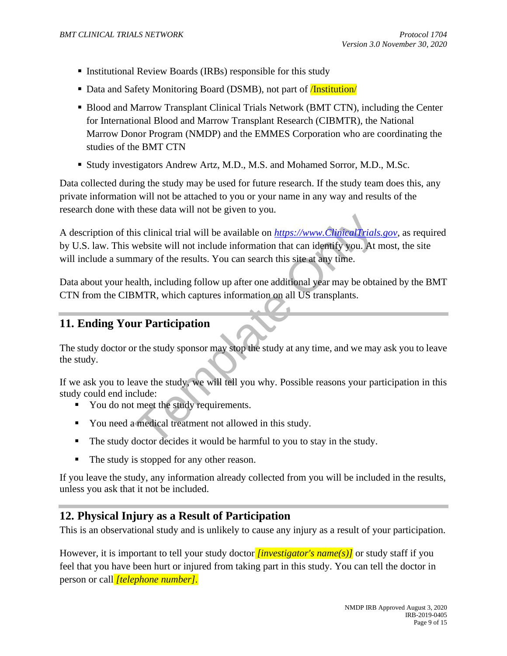- Institutional Review Boards (IRBs) responsible for this study
- Data and Safety Monitoring Board (DSMB), not part of **Institution**
- **EXECT** Blood and Marrow Transplant Clinical Trials Network (BMT CTN), including the Center for International Blood and Marrow Transplant Research (CIBMTR), the National Marrow Donor Program (NMDP) and the EMMES Corporation who are coordinating the studies of the BMT CTN
- Study investigators Andrew Artz, M.D., M.S. and Mohamed Sorror, M.D., M.Sc.

Data collected during the study may be used for future research. If the study team does this, any private information will not be attached to you or your name in any way and results of the research done with these data will not be given to you.

is clinical trial will be available on *https://www.ClinicalTrials*<br>website will not include information that can identify you. At mary of the results. You can search this site at any time.<br>alth, including follow up after A description of this clinical trial will be available on *https://www.ClinicalTrials.gov*, as required by U.S. law. This website will not include information that can identify you. At most, the site will include a summary of the results. You can search this site at any time.

Data about your health, including follow up after one additional year may be obtained by the BMT CTN from the CIBMTR, which captures information on all US transplants.

### **11. Ending Your Participation**

The study doctor or the study sponsor may stop the study at any time, and we may ask you to leave the study.

If we ask you to leave the study, we will tell you why. Possible reasons your participation in this study could end include:

- You do not meet the study requirements.
- You need a medical treatment not allowed in this study.
- The study doctor decides it would be harmful to you to stay in the study.
- The study is stopped for any other reason.

If you leave the study, any information already collected from you will be included in the results, unless you ask that it not be included.

# **12. Physical Injury as a Result of Participation**

This is an observational study and is unlikely to cause any injury as a result of your participation.

However, it is important to tell your study doctor *[investigator's name(s)]* or study staff if you feel that you have been hurt or injured from taking part in this study. You can tell the doctor in person or call *[telephone number]*.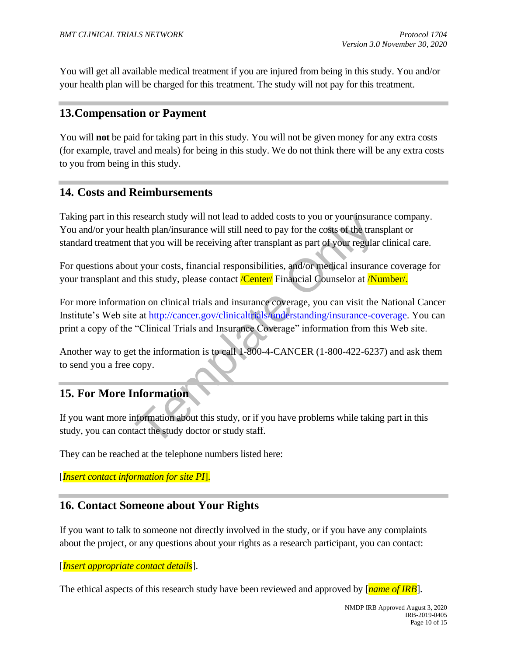You will get all available medical treatment if you are injured from being in this study. You and/or your health plan will be charged for this treatment. The study will not pay for this treatment.

# **13.Compensation or Payment**

You will **not** be paid for taking part in this study. You will not be given money for any extra costs (for example, travel and meals) for being in this study. We do not think there will be any extra costs to you from being in this study.

### **14. Costs and Reimbursements**

Taking part in this research study will not lead to added costs to you or your insurance company. You and/or your health plan/insurance will still need to pay for the costs of the transplant or standard treatment that you will be receiving after transplant as part of your regular clinical care.

For questions about your costs, financial responsibilities, and/or medical insurance coverage for your transplant and this study, please contact *Center* Financial Counselor at **Number**.

research study will not lead to added costs to you or your insural<br>talth plan/insurance will still need to pay for the costs of the tran<br>that you will be receiving after transplant as part of your regular<br>tut your costs, f For more information on clinical trials and insurance coverage, you can visit the National Cancer Institute's Web site at http://cancer.gov/clinicaltrials/understanding/insurance-coverage. You can print a copy of the "Clinical Trials and Insurance Coverage" information from this Web site.

Another way to get the information is to call 1-800-4**-**CANCER (1-800-422-6237) and ask them to send you a free copy.

# **15. For More Information**

If you want more information about this study, or if you have problems while taking part in this study, you can contact the study doctor or study staff.

They can be reached at the telephone numbers listed here:

[*Insert contact information for site PI*].

### **16. Contact Someone about Your Rights**

If you want to talk to someone not directly involved in the study, or if you have any complaints about the project, or any questions about your rights as a research participant, you can contact:

#### [*Insert appropriate contact details*].

The ethical aspects of this research study have been reviewed and approved by [*name of IRB*].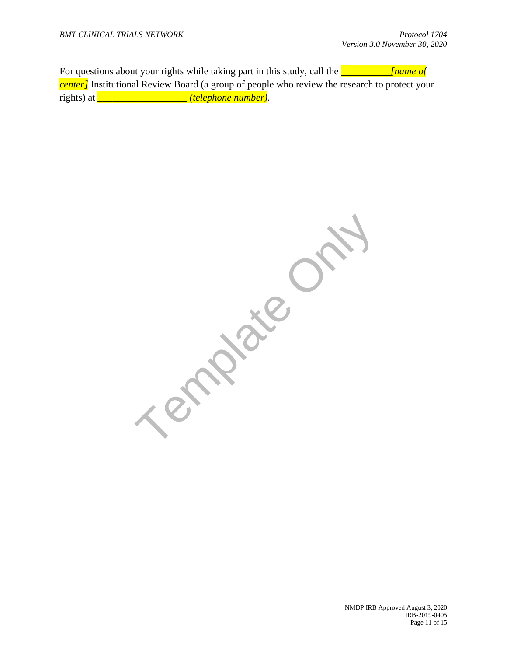For questions about your rights while taking part in this study, call the *\_\_\_\_\_\_\_\_\_\_[name of center]* Institutional Review Board (a group of people who review the research to protect your rights) at *\_\_\_\_\_\_\_\_\_\_\_\_\_\_\_\_\_\_ (telephone number).*

**Template O** 

NMDP IRB Approved August 3, 2020 IRB-2019-0405 Page 11 of 15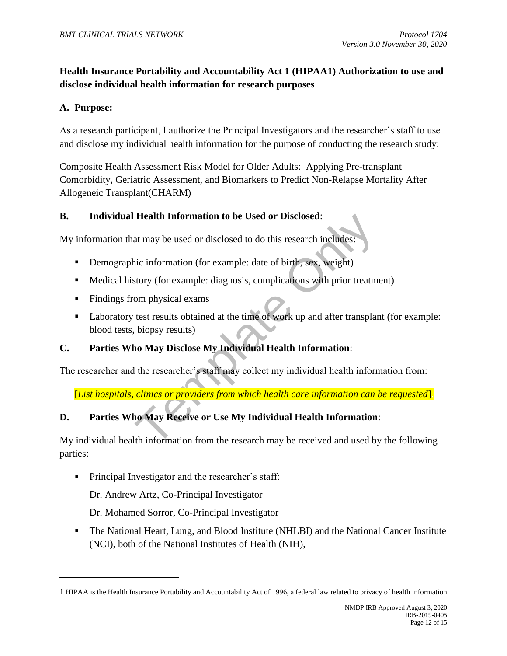### **Health Insurance Portability and Accountability Act 1 (HIPAA1) Authorization to use and disclose individual health information for research purposes**

### **A. Purpose:**

As a research participant, I authorize the Principal Investigators and the researcher's staff to use and disclose my individual health information for the purpose of conducting the research study:

Composite Health Assessment Risk Model for Older Adults: Applying Pre-transplant Comorbidity, Geriatric Assessment, and Biomarkers to Predict Non-Relapse Mortality After Allogeneic Transplant(CHARM)

#### **B. Individual Health Information to be Used or Disclosed**:

My information that may be used or disclosed to do this research includes:

- Demographic information (for example: date of birth, sex, weight).
- Medical history (for example: diagnosis, complications with prior treatment).
- Findings from physical exams.
- Health Information to be Used or Disclosed:<br>at may be used or disclosed to do this research includes:<br>hic information (for example: date of birth, sex, weight)<br>story (for example: diagnosis, complications with prior treatm ■ Laboratory test results obtained at the time of work up and after transplant (for example: blood tests, biopsy results).

### **C. Parties Who May Disclose My Individual Health Information**:

The researcher and the researcher's staff may collect my individual health information from:

[*List hospitals, clinics or providers from which health care information can be requested*].

### **D. Parties Who May Receive or Use My Individual Health Information**:

My individual health information from the research may be received and used by the following parties:

■ Principal Investigator and the researcher's staff:

Dr. Andrew Artz, Co-Principal Investigator

Dr. Mohamed Sorror, Co-Principal Investigator

▪ The National Heart, Lung, and Blood Institute (NHLBI) and the National Cancer Institute (NCI), both of the National Institutes of Health (NIH),

<sup>1</sup> HIPAA is the Health Insurance Portability and Accountability Act of 1996, a federal law related to privacy of health information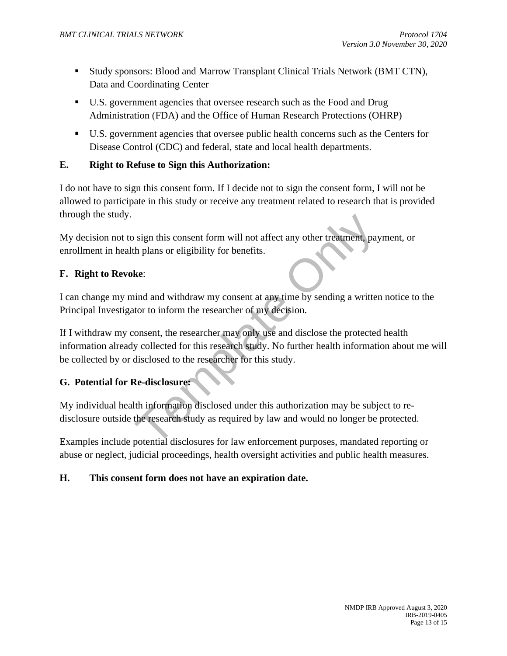- Study sponsors: Blood and Marrow Transplant Clinical Trials Network (BMT CTN), Data and Coordinating Center
- U.S. government agencies that oversee research such as the Food and Drug Administration (FDA) and the Office of Human Research Protections (OHRP)
- U.S. government agencies that oversee public health concerns such as the Centers for Disease Control (CDC) and federal, state and local health departments.

### **E. Right to Refuse to Sign this Authorization:**

I do not have to sign this consent form. If I decide not to sign the consent form, I will not be allowed to participate in this study or receive any treatment related to research that is provided through the study.

My decision not to sign this consent form will not affect any other treatment, payment, or enrollment in health plans or eligibility for benefits.

#### **F. Right to Revoke**:

I can change my mind and withdraw my consent at any time by sending a written notice to the Principal Investigator to inform the researcher of my decision.

Template Only If I withdraw my consent, the researcher may only use and disclose the protected health information already collected for this research study. No further health information about me will be collected by or disclosed to the researcher for this study.

### **G. Potential for Re-disclosure:**

My individual health information disclosed under this authorization may be subject to redisclosure outside the research study as required by law and would no longer be protected.

Examples include potential disclosures for law enforcement purposes, mandated reporting or abuse or neglect, judicial proceedings, health oversight activities and public health measures.

#### **H. This consent form does not have an expiration date.**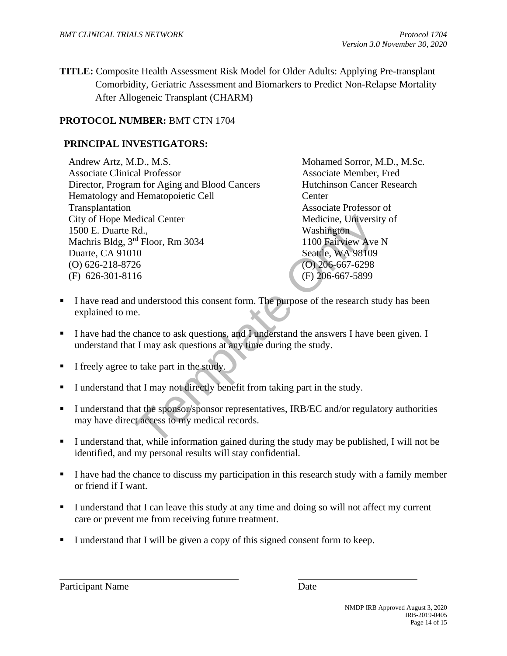**TITLE:** Composite Health Assessment Risk Model for Older Adults: Applying Pre-transplant Comorbidity, Geriatric Assessment and Biomarkers to Predict Non-Relapse Mortality After Allogeneic Transplant (CHARM)

### **PROTOCOL NUMBER:** BMT CTN 1704

### **PRINCIPAL INVESTIGATORS:**

edical Center<br>
Medicine, University<br>
Rd.,<br>
Mashington<br>
1100 Fairview Ave<br>
Seattle, WA 98109<br>
26<br>
26<br>
(D) 206-667-5298<br>
(F) 206-667-5899<br>
1 understood this consent form. The purpose of the research st<br>
e.<br>
chance to ask que Andrew Artz, M.D., M.S. Associate Clinical Professor Director, Program for Aging and Blood Cancers Hematology and Hematopoietic Cell Transplantation City of Hope Medical Center 1500 E. Duarte Rd., Machris Bldg, 3rd Floor, Rm 3034 Duarte, CA 91010 (O) 626-218-8726 (F) 626-301-8116

Mohamed Sorror, M.D., M.Sc. Associate Member, Fred Hutchinson Cancer Research **Center** Associate Professor of Medicine, University of Washington 1100 Fairview Ave N Seattle, WA 98109 (O) 206-667-6298 (F) 206-667-5899

- **I** have read and understood this consent form. The purpose of the research study has been explained to me.
- **EXECUTE:** I have had the chance to ask questions, and I understand the answers I have been given. I understand that I may ask questions at any time during the study.
- **I** I freely agree to take part in the study.
- **I** understand that I may not directly benefit from taking part in the study.
- I understand that the sponsor/sponsor representatives, IRB/EC and/or regulatory authorities may have direct access to my medical records.
- I understand that, while information gained during the study may be published, I will not be identified, and my personal results will stay confidential.
- **•** I have had the chance to discuss my participation in this research study with a family member or friend if I want.
- **I** understand that I can leave this study at any time and doing so will not affect my current care or prevent me from receiving future treatment.
- I understand that I will be given a copy of this signed consent form to keep.

Participant Name Date